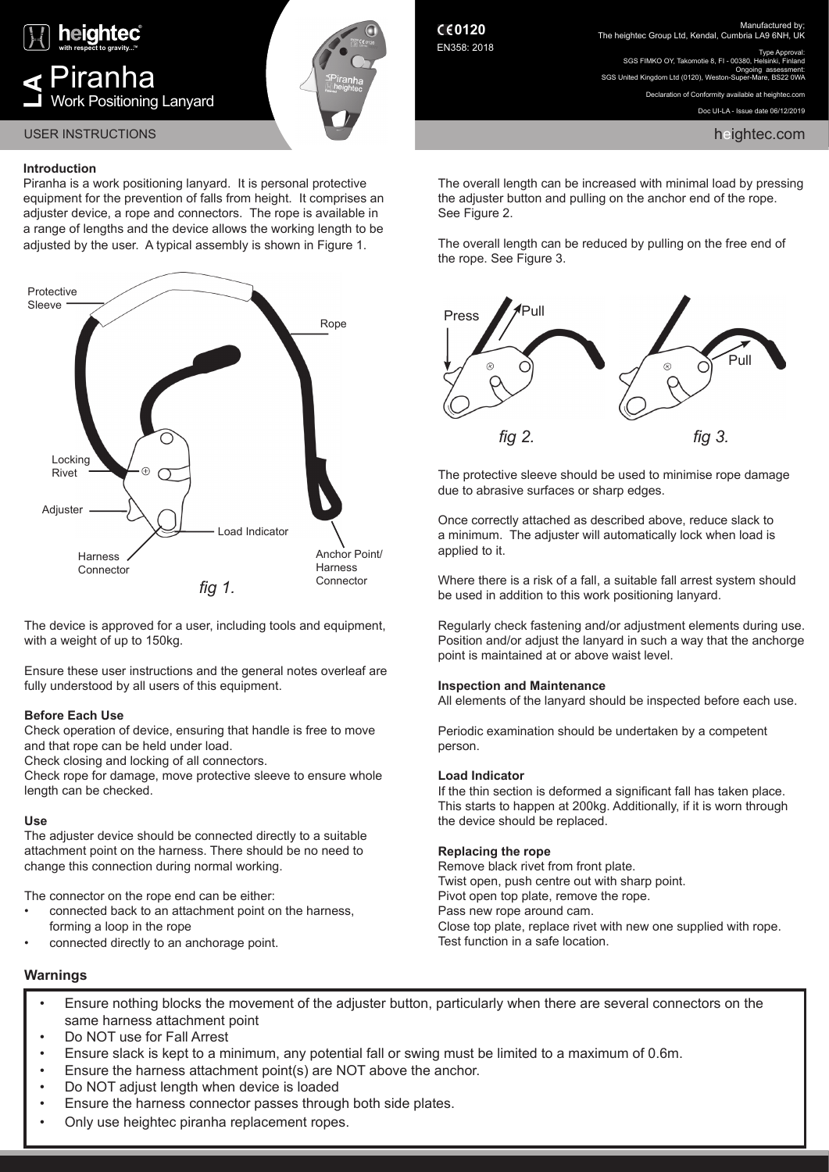

# **Introduction**

Piranha is a work positioning lanyard. It is personal protective equipment for the prevention of falls from height. It comprises an adjuster device, a rope and connectors. The rope is available in a range of lengths and the device allows the working length to be adjusted by the user. A typical assembly is shown in Figure 1.



The device is approved for a user, including tools and equipment, with a weight of up to 150kg.

Ensure these user instructions and the general notes overleaf are fully understood by all users of this equipment.

# **Before Each Use**

Check operation of device, ensuring that handle is free to move and that rope can be held under load.

Check closing and locking of all connectors.

Check rope for damage, move protective sleeve to ensure whole length can be checked.

# **Use**

The adjuster device should be connected directly to a suitable attachment point on the harness. There should be no need to change this connection during normal working.

The connector on the rope end can be either:

- connected back to an attachment point on the harness. forming a loop in the rope
- connected directly to an anchorage point.

**0120** EN358: 2018 Manufactured by; The heightec Group Ltd, Kendal, Cumbria LA9 6NH, UK

Type Approval: SGS FIMKO OY, Takomotie 8, FL, 00380, H Ongoing assessment: SGS United Kingdom Ltd (0120), Weston-S

> Declaration of Conformity available at heightec.com Doc UI-LA - Issue date 06/12/2019

The overall length can be increased with minimal load by pressing the adjuster button and pulling on the anchor end of the rope. See Figure 2.

The overall length can be reduced by pulling on the free end of the rope. See Figure 3.



The protective sleeve should be used to minimise rope damage due to abrasive surfaces or sharp edges.

Once correctly attached as described above, reduce slack to a minimum. The adjuster will automatically lock when load is applied to it.

Where there is a risk of a fall, a suitable fall arrest system should be used in addition to this work positioning lanyard.

Regularly check fastening and/or adjustment elements during use. Position and/or adjust the lanyard in such a way that the anchorge point is maintained at or above waist level.

# **Inspection and Maintenance**

All elements of the lanyard should be inspected before each use.

Periodic examination should be undertaken by a competent person.

# **Load Indicator**

If the thin section is deformed a significant fall has taken place. This starts to happen at 200kg. Additionally, if it is worn through the device should be replaced.

# **Replacing the rope**

Remove black rivet from front plate. Twist open, push centre out with sharp point. Pivot open top plate, remove the rope. Pass new rope around cam. Close top plate, replace rivet with new one supplied with rope. Test function in a safe location.

# **Warnings**

- Ensure nothing blocks the movement of the adjuster button, particularly when there are several connectors on the same harness attachment point
- Do NOT use for Fall Arrest
- Ensure slack is kept to a minimum, any potential fall or swing must be limited to a maximum of 0.6m.
- Ensure the harness attachment point(s) are NOT above the anchor.
- Do NOT adjust length when device is loaded
- Ensure the harness connector passes through both side plates.
- Only use heightec piranha replacement ropes.